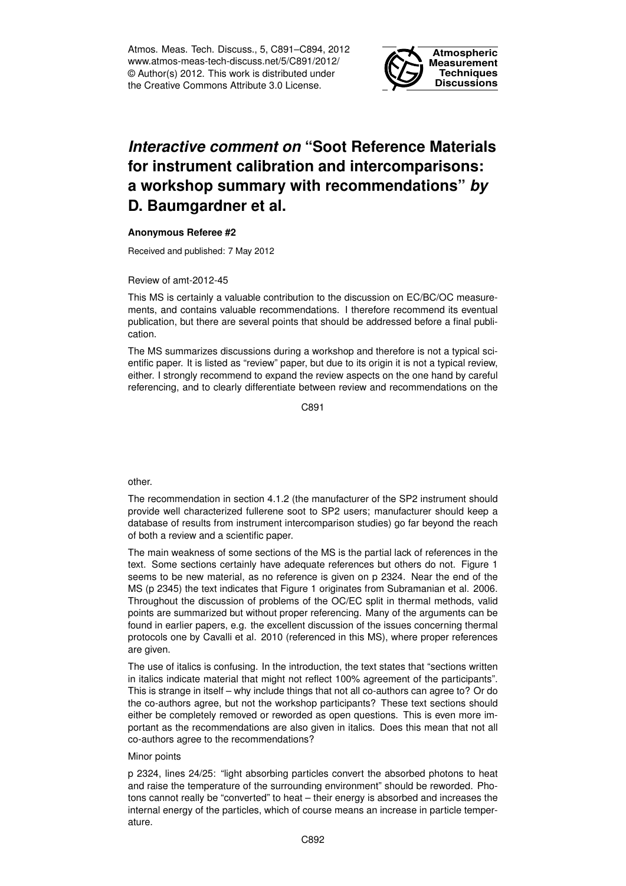Atmos. Meas. Tech. Discuss., 5, C891–C894, 2012 www.atmos-meas-tech-discuss.net/5/C891/2012/ © Author(s) 2012. This work is distributed under the Creative Commons Attribute 3.0 License.



## *Interactive comment on* **"Soot Reference Materials for instrument calibration and intercomparisons: a workshop summary with recommendations"** *by* **D. Baumgardner et al.**

## **Anonymous Referee #2**

Received and published: 7 May 2012

Review of amt-2012-45

This MS is certainly a valuable contribution to the discussion on EC/BC/OC measurements, and contains valuable recommendations. I therefore recommend its eventual publication, but there are several points that should be addressed before a final publication.

The MS summarizes discussions during a workshop and therefore is not a typical scientific paper. It is listed as "review" paper, but due to its origin it is not a typical review, either. I strongly recommend to expand the review aspects on the one hand by careful referencing, and to clearly differentiate between review and recommendations on the

 $C.891$ 

other.

The recommendation in section 4.1.2 (the manufacturer of the SP2 instrument should provide well characterized fullerene soot to SP2 users; manufacturer should keep a database of results from instrument intercomparison studies) go far beyond the reach of both a review and a scientific paper.

The main weakness of some sections of the MS is the partial lack of references in the text. Some sections certainly have adequate references but others do not. Figure 1 seems to be new material, as no reference is given on p 2324. Near the end of the MS (p 2345) the text indicates that Figure 1 originates from Subramanian et al. 2006. Throughout the discussion of problems of the OC/EC split in thermal methods, valid points are summarized but without proper referencing. Many of the arguments can be found in earlier papers, e.g. the excellent discussion of the issues concerning thermal protocols one by Cavalli et al. 2010 (referenced in this MS), where proper references are given.

The use of italics is confusing. In the introduction, the text states that "sections written in italics indicate material that might not reflect 100% agreement of the participants". This is strange in itself – why include things that not all co-authors can agree to? Or do the co-authors agree, but not the workshop participants? These text sections should either be completely removed or reworded as open questions. This is even more important as the recommendations are also given in italics. Does this mean that not all co-authors agree to the recommendations?

## Minor points

p 2324, lines 24/25: "light absorbing particles convert the absorbed photons to heat and raise the temperature of the surrounding environment" should be reworded. Photons cannot really be "converted" to heat – their energy is absorbed and increases the internal energy of the particles, which of course means an increase in particle temperature.